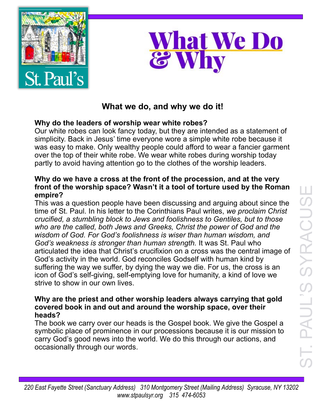



# **What we do, and why we do it!**

# **Why do the leaders of worship wear white robes?**

Our white robes can look fancy today, but they are intended as a statement of simplicity. Back in Jesus' time everyone wore a simple white robe because it was easy to make. Only wealthy people could afford to wear a fancier garment over the top of their white robe. We wear white robes during worship today partly to avoid having attention go to the clothes of the worship leaders.

### **Why do we have a cross at the front of the procession, and at the very front of the worship space? Wasn't it a tool of torture used by the Roman empire?**

This was a question people have been discussing and arguing about since the time of St. Paul. In his letter to the Corinthians Paul writes, *we proclaim Christ crucified, a stumbling block to Jews and foolishness to Gentiles, but to those who are the called, both Jews and Greeks, Christ the power of God and the wisdom of God. For God's foolishness is wiser than human wisdom, and God's weakness is stronger than human strength.* It was St. Paul who articulated the idea that Christ's crucifixion on a cross was the central image of God's activity in the world. God reconciles Godself with human kind by suffering the way we suffer, by dying the way we die. For us, the cross is an icon of God's self-giving, self-emptying love for humanity, a kind of love we strive to show in our own lives.

#### **Why are the priest and other worship leaders always carrying that gold covered book in and out and around the worship space, over their heads?**

The book we carry over our heads is the Gospel book. We give the Gospel a symbolic place of prominence in our processions because it is our mission to carry God's good news into the world. We do this through our actions, and occasionally through our words.